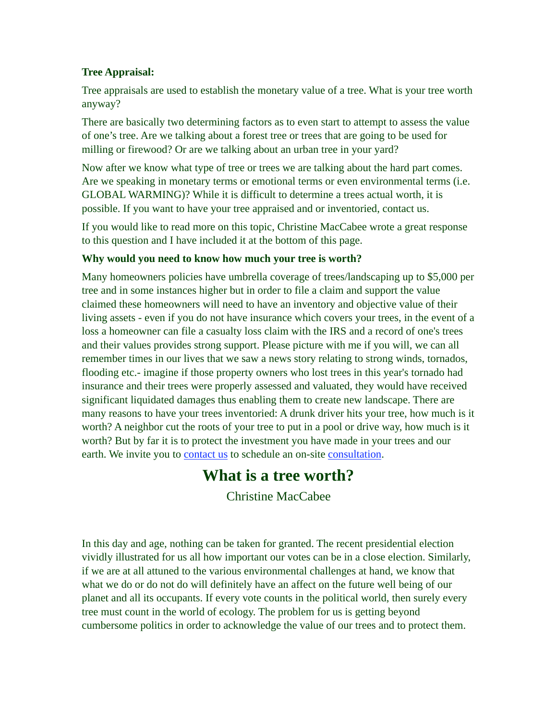## **Tree Appraisal:**

Tree appraisals are used to establish the monetary value of a tree. What is your tree worth anyway?

There are basically two determining factors as to even start to attempt to assess the value of one's tree. Are we talking about a forest tree or trees that are going to be used for milling or firewood? Or are we talking about an urban tree in your yard?

Now after we know what type of tree or trees we are talking about the hard part comes. Are we speaking in monetary terms or emotional terms or even environmental terms (i.e. GLOBAL WARMING)? While it is difficult to determine a trees actual worth, it is possible. If you want to have your tree appraised and or inventoried, contact us.

If you would like to read more on this topic, Christine MacCabee wrote a great response to this question and I have included it at the bottom of this page.

## **Why would you need to know how much your tree is worth?**

Many homeowners policies have umbrella coverage of trees/landscaping up to \$5,000 per tree and in some instances higher but in order to file a claim and support the value claimed these homeowners will need to have an inventory and objective value of their living assets - even if you do not have insurance which covers your trees, in the event of a loss a homeowner can file a casualty loss claim with the IRS and a record of one's trees and their values provides strong support. Please picture with me if you will, we can all remember times in our lives that we saw a news story relating to strong winds, tornados, flooding etc.- imagine if those property owners who lost trees in this year's tornado had insurance and their trees were properly assessed and valuated, they would have received significant liquidated damages thus enabling them to create new landscape. There are many reasons to have your trees inventoried: A drunk driver hits your tree, how much is it worth? A neighbor cut the roots of your tree to put in a pool or drive way, how much is it worth? But by far it is to protect the investment you have made in your trees and our earth. We invite you to **contact us** to schedule an on-site **consultation**.

## **What is a tree worth?**

Christine MacCabee

In this day and age, nothing can be taken for granted. The recent presidential election vividly illustrated for us all how important our votes can be in a close election. Similarly, if we are at all attuned to the various environmental challenges at hand, we know that what we do or do not do will definitely have an affect on the future well being of our planet and all its occupants. If every vote counts in the political world, then surely every tree must count in the world of ecology. The problem for us is getting beyond cumbersome politics in order to acknowledge the value of our trees and to protect them.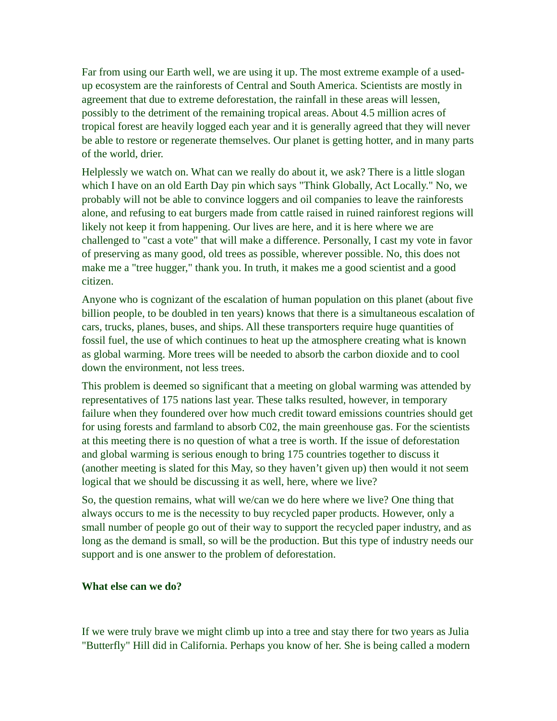Far from using our Earth well, we are using it up. The most extreme example of a usedup ecosystem are the rainforests of Central and South America. Scientists are mostly in agreement that due to extreme deforestation, the rainfall in these areas will lessen, possibly to the detriment of the remaining tropical areas. About 4.5 million acres of tropical forest are heavily logged each year and it is generally agreed that they will never be able to restore or regenerate themselves. Our planet is getting hotter, and in many parts of the world, drier.

Helplessly we watch on. What can we really do about it, we ask? There is a little slogan which I have on an old Earth Day pin which says "Think Globally, Act Locally." No, we probably will not be able to convince loggers and oil companies to leave the rainforests alone, and refusing to eat burgers made from cattle raised in ruined rainforest regions will likely not keep it from happening. Our lives are here, and it is here where we are challenged to "cast a vote" that will make a difference. Personally, I cast my vote in favor of preserving as many good, old trees as possible, wherever possible. No, this does not make me a "tree hugger," thank you. In truth, it makes me a good scientist and a good citizen.

Anyone who is cognizant of the escalation of human population on this planet (about five billion people, to be doubled in ten years) knows that there is a simultaneous escalation of cars, trucks, planes, buses, and ships. All these transporters require huge quantities of fossil fuel, the use of which continues to heat up the atmosphere creating what is known as global warming. More trees will be needed to absorb the carbon dioxide and to cool down the environment, not less trees.

This problem is deemed so significant that a meeting on global warming was attended by representatives of 175 nations last year. These talks resulted, however, in temporary failure when they foundered over how much credit toward emissions countries should get for using forests and farmland to absorb C02, the main greenhouse gas. For the scientists at this meeting there is no question of what a tree is worth. If the issue of deforestation and global warming is serious enough to bring 175 countries together to discuss it (another meeting is slated for this May, so they haven't given up) then would it not seem logical that we should be discussing it as well, here, where we live?

So, the question remains, what will we/can we do here where we live? One thing that always occurs to me is the necessity to buy recycled paper products. However, only a small number of people go out of their way to support the recycled paper industry, and as long as the demand is small, so will be the production. But this type of industry needs our support and is one answer to the problem of deforestation.

## **What else can we do?**

If we were truly brave we might climb up into a tree and stay there for two years as Julia "Butterfly" Hill did in California. Perhaps you know of her. She is being called a modern